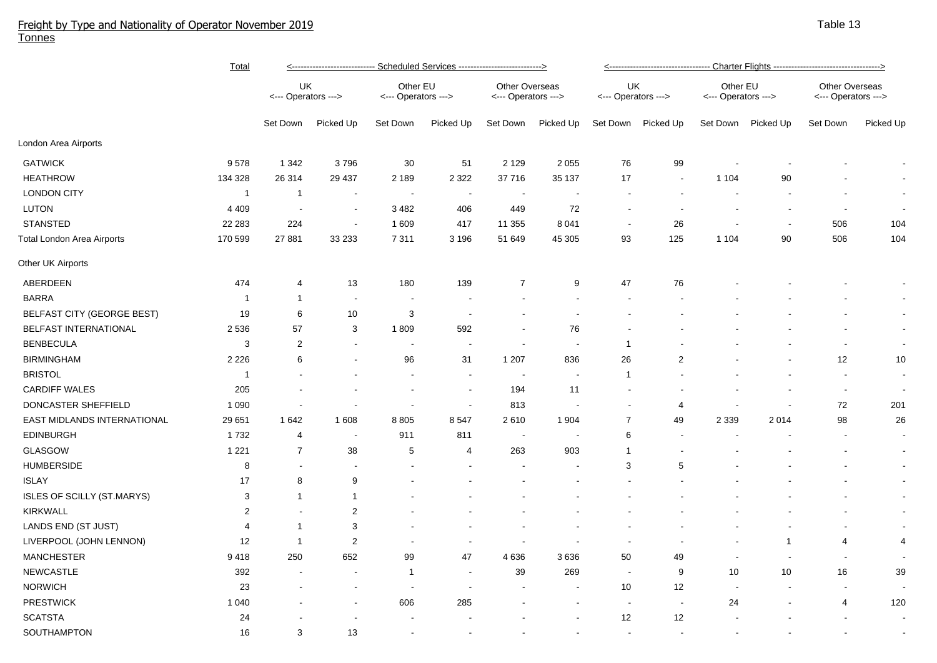## Freight by Type and Nationality of Operator November 2019 Tonnes

|                             | <u>Total</u>   | <u>&lt;---------------------------- Scheduled Services ----------------------------&gt;</u> |                          |                                 |           |                                       |                          | <u>&lt;---------------------------------- Charter Flights -----------------------------------&gt;</u> |                          |                                 |                          |                                              |                |  |
|-----------------------------|----------------|---------------------------------------------------------------------------------------------|--------------------------|---------------------------------|-----------|---------------------------------------|--------------------------|-------------------------------------------------------------------------------------------------------|--------------------------|---------------------------------|--------------------------|----------------------------------------------|----------------|--|
|                             |                | UK<br><--- Operators --->                                                                   |                          | Other EU<br><--- Operators ---> |           | Other Overseas<br><--- Operators ---> |                          | UK<br><--- Operators --->                                                                             |                          | Other EU<br><--- Operators ---> |                          | <b>Other Overseas</b><br><--- Operators ---> |                |  |
|                             |                | Set Down                                                                                    | Picked Up                | Set Down                        | Picked Up | Set Down                              | Picked Up                | Set Down                                                                                              | Picked Up                | Set Down                        | Picked Up                | Set Down                                     | Picked Up      |  |
| London Area Airports        |                |                                                                                             |                          |                                 |           |                                       |                          |                                                                                                       |                          |                                 |                          |                                              |                |  |
| <b>GATWICK</b>              | 9578           | 1 3 4 2                                                                                     | 3796                     | 30                              | 51        | 2 1 2 9                               | 2 0 5 5                  | 76                                                                                                    | 99                       |                                 |                          |                                              |                |  |
| <b>HEATHROW</b>             | 134 328        | 26 314                                                                                      | 29 437                   | 2 189                           | 2 3 2 2   | 37 716                                | 35 137                   | 17                                                                                                    | $\blacksquare$           | 1 1 0 4                         | 90                       |                                              |                |  |
| <b>LONDON CITY</b>          | $\mathbf{1}$   | $\overline{1}$                                                                              | $\sim$                   | $\blacksquare$                  | $\sim$    | $\sim$                                | $\overline{\phantom{a}}$ | $\overline{\phantom{a}}$                                                                              |                          |                                 |                          |                                              | $\sim$         |  |
| <b>LUTON</b>                | 4 4 0 9        | $\sim$                                                                                      | $\overline{\phantom{a}}$ | 3482                            | 406       | 449                                   | 72                       | $\sim$                                                                                                |                          |                                 | $\overline{\phantom{a}}$ | $\overline{\phantom{a}}$                     |                |  |
| <b>STANSTED</b>             | 22 28 3        | 224                                                                                         | $\sim$                   | 1 609                           | 417       | 11 355                                | 8 0 4 1                  | $\sim$                                                                                                | 26                       |                                 | $\sim$                   | 506                                          | 104            |  |
| Total London Area Airports  | 170 599        | 27 881                                                                                      | 33 233                   | 7 3 1 1                         | 3 1 9 6   | 51 649                                | 45 305                   | 93                                                                                                    | 125                      | 1 1 0 4                         | 90                       | 506                                          | 104            |  |
| Other UK Airports           |                |                                                                                             |                          |                                 |           |                                       |                          |                                                                                                       |                          |                                 |                          |                                              |                |  |
| ABERDEEN                    | 474            | 4                                                                                           | 13                       | 180                             | 139       | $\overline{7}$                        | 9                        | 47                                                                                                    | 76                       |                                 |                          |                                              |                |  |
| <b>BARRA</b>                | $\mathbf{1}$   | 1                                                                                           | $\overline{\phantom{a}}$ | $\blacksquare$                  |           |                                       |                          |                                                                                                       |                          |                                 |                          |                                              | $\sim$         |  |
| BELFAST CITY (GEORGE BEST)  | 19             | 6                                                                                           | 10                       | $\ensuremath{\mathsf{3}}$       |           |                                       |                          |                                                                                                       |                          |                                 |                          |                                              |                |  |
| BELFAST INTERNATIONAL       | 2 5 3 6        | 57                                                                                          | $\sqrt{3}$               | 1809                            | 592       |                                       | 76                       |                                                                                                       |                          |                                 |                          |                                              | $\blacksquare$ |  |
| <b>BENBECULA</b>            | 3              | $\overline{2}$                                                                              | $\blacksquare$           | $\blacksquare$                  |           |                                       |                          | $\overline{1}$                                                                                        |                          |                                 |                          |                                              | $\sim$         |  |
| <b>BIRMINGHAM</b>           | 2 2 2 6        | 6                                                                                           |                          | 96                              | 31        | 1 207                                 | 836                      | 26                                                                                                    | $\sqrt{2}$               |                                 |                          | 12                                           | 10             |  |
| <b>BRISTOL</b>              | $\mathbf{1}$   |                                                                                             |                          |                                 |           |                                       | $\blacksquare$           | $\overline{1}$                                                                                        |                          |                                 |                          | $\overline{a}$                               | $\sim$         |  |
| <b>CARDIFF WALES</b>        | 205            |                                                                                             |                          |                                 |           | 194                                   | 11                       |                                                                                                       |                          |                                 |                          | $\blacksquare$                               | $\sim$         |  |
| DONCASTER SHEFFIELD         | 1 0 9 0        |                                                                                             |                          |                                 |           | 813                                   |                          |                                                                                                       | 4                        |                                 |                          | 72                                           | 201            |  |
| EAST MIDLANDS INTERNATIONAL | 29 651         | 1642                                                                                        | 1 608                    | 8 8 0 5                         | 8547      | 2610                                  | 1 9 0 4                  | $\overline{7}$                                                                                        | 49                       | 2 3 3 9                         | 2014                     | 98                                           | 26             |  |
| <b>EDINBURGH</b>            | 1732           | 4                                                                                           | $\blacksquare$           | 911                             | 811       |                                       |                          | 6                                                                                                     | $\overline{\phantom{a}}$ |                                 |                          | ÷                                            | $\sim$         |  |
| <b>GLASGOW</b>              | 1 2 2 1        | $\overline{7}$                                                                              | 38                       | 5                               | 4         | 263                                   | 903                      | $\mathbf 1$                                                                                           |                          |                                 |                          |                                              | $\sim$         |  |
| <b>HUMBERSIDE</b>           | 8              | $\sim$                                                                                      | $\overline{\phantom{a}}$ |                                 |           |                                       |                          | 3                                                                                                     | 5                        |                                 |                          | ٠                                            | $\sim$         |  |
| <b>ISLAY</b>                | 17             | 8                                                                                           | 9                        |                                 |           |                                       |                          |                                                                                                       |                          |                                 |                          |                                              | $\blacksquare$ |  |
| ISLES OF SCILLY (ST.MARYS)  | 3              | 1                                                                                           | $\mathbf{1}$             |                                 |           |                                       |                          |                                                                                                       |                          |                                 |                          |                                              | $\sim$         |  |
| <b>KIRKWALL</b>             | $\overline{c}$ |                                                                                             | $\sqrt{2}$               |                                 |           |                                       |                          |                                                                                                       |                          |                                 |                          |                                              | $\blacksquare$ |  |
| LANDS END (ST JUST)         | 4              | $\mathbf{1}$                                                                                | $\sqrt{3}$               |                                 |           |                                       |                          |                                                                                                       |                          |                                 |                          |                                              | $\sim$         |  |
| LIVERPOOL (JOHN LENNON)     | 12             | $\mathbf{1}$                                                                                | $\sqrt{2}$               |                                 |           |                                       |                          |                                                                                                       |                          |                                 | $\mathbf{1}$             | 4                                            | 4              |  |
| <b>MANCHESTER</b>           | 9418           | 250                                                                                         | 652                      | 99                              | 47        | 4 6 3 6                               | 3636                     | 50                                                                                                    | 49                       |                                 |                          | $\blacksquare$                               |                |  |
| <b>NEWCASTLE</b>            | 392            |                                                                                             |                          | -1                              |           | 39                                    | 269                      | $\sim$                                                                                                | 9                        | 10                              | 10                       | 16                                           | 39             |  |
| <b>NORWICH</b>              | 23             |                                                                                             |                          |                                 |           |                                       |                          | 10                                                                                                    | 12                       |                                 |                          | $\sim$                                       |                |  |
| <b>PRESTWICK</b>            | 1 0 4 0        |                                                                                             |                          | 606                             | 285       |                                       |                          | $\overline{\phantom{a}}$                                                                              | $\overline{\phantom{a}}$ | 24                              |                          | $\overline{4}$                               | 120            |  |
| <b>SCATSTA</b>              | 24             |                                                                                             |                          |                                 |           |                                       |                          | 12                                                                                                    | 12                       |                                 |                          |                                              | $\sim$         |  |
| SOUTHAMPTON                 | 16             | 3                                                                                           | 13                       | $\overline{a}$                  |           |                                       |                          | $\overline{a}$                                                                                        |                          |                                 |                          |                                              |                |  |